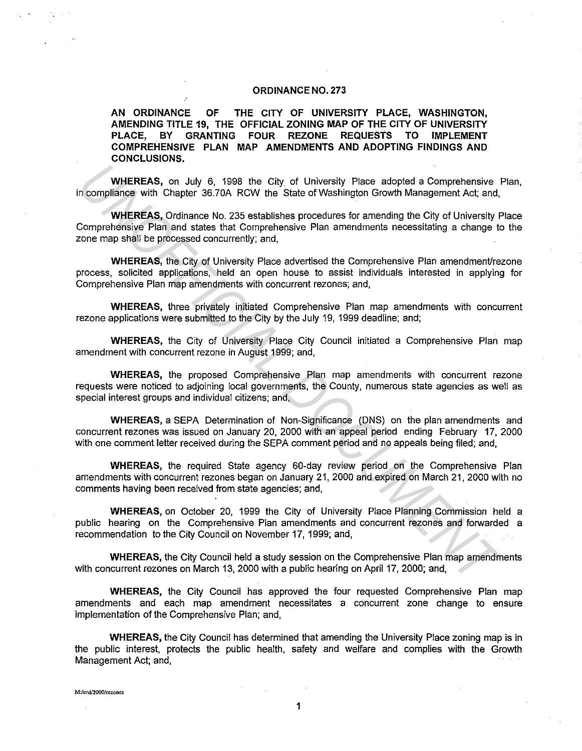#### **ORDINANCE NO. 273**

**AN ORDINANCE OF THE CITY OF UNIVERSITY PLACE, WASHINGTON, AMENDING TITLE 19, THE OFFICIAL ZONING MAP OF THE CITY OF UNIVERSITY PLACE, BY GRANTING FOUR REZONE REQUESTS TO IMPLEMENT COMPREHENSIVE PLAN MAP AMENDMENTS AND ADOPTING FINDINGS AND CONCLUSIONS.** 

**WHEREAS,** on July 6, 1998 the City of University Place adopted a Comprehensive Plan, in compliance with Chapter 36. 70A RCW the State of Washington Growth Management Act; and,

**WHEREAS,** Ordinance No. 235 establishes procedures for amending the City of University Place Comprehensive Plan and states that Comprehensive Plan amendments necessitating a change to the zone map shall be processed concurrently; and, **WHEREAS, on July 6, 1998 the City of University Place adopted a Comprehensive in compliance with Chapter 36.70A RCW the State of Washington Growth Management Act, and, WHEREAS, Ordinance No. 235 establishes procedures for** 

**WHEREAS,** the City of University Place advertised the Comprehensive Plan amendment/rezone process, solicited applications, held an open house to assist individuals interested in applying for Comprehensive Plan map amendments with concurrent rezones; and,

**WHEREAS,** three privately initiated Comprehensive Plan map amendments with concurrent rezone applications were submitted to the City by the July 19, 1999 deadline; and;

**WHEREAS,** the City of University Place City Council initiated a Comprehensive Plan map amendment with concurrent rezone in August 1999; and,

**WHEREAS,** the proposed Comprehensive Plan map amendments with concurrent rezone requests were noticed to adjoining local governments, the County, numerous state agencies as well as special interest groups and individual citizens; and,

**WHEREAS,** a SEPA Determination of Non-Significance (DNS) on the plan amendments and concurrent rezones was issued on January 20, 2000 with an appeal period ending February 17, 2000 with one comment letter received during the SEPA comment period and no appeals being filed; and,

**WHEREAS,** the required State agency 60-day review period on the Comprehensive Plan amendments with concurrent rezones began on January 21, 2000 and expired on March 21, 2000 with no comments having been received from state agencies; and,

**WHEREAS,** on October 20, 1999 the City of University Place Planning Commission held a public hearing on the Comprehensive Plan amendments and concurrent rezones and forwarded a recommendation to the City Council on November 17, 1999; and,

**WHEREAS,** the City Council held a study session on the Comprehensive Plan map amendments with concurrent rezones on March 13, 2000 with a public hearing on April 17, 2000; and,

**WHEREAS,** the City Council has approved the four requested Comprehensive Plan map amendments and each map amendment necessitates a concurrent zone change to ensure implementation of the Comprehensive Plan; and,

**WHEREAS,** the City Council has determined that amending the University Place zoning map is in the public interest, protects the public health, safety and welfare and complies with the Growth Management Act; and,

**M:/ord/2000/rerones**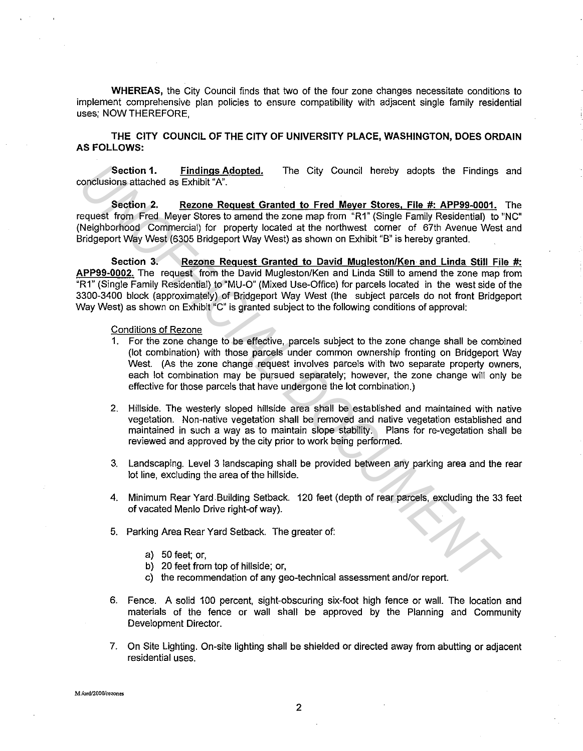**WHEREAS,** the City Council finds that two of the four zone changes necessitate conditions to implement comprehensive plan policies to ensure compatibility with adjacent single family residential uses; NOW THEREFORE,

**THE CITY COUNCIL OF THE CITY OF UNIVERSITY PLACE, WASHINGTON, DOES ORDAIN AS FOLLOWS:** 

**Section 1. Findings Adopted.** The City Council hereby adopts the Findings and conclusions attached as Exhibit "A".

**Section 2. Rezone Request Granted to Fred Meyer Stores, File #: APP99-0001.** The request from Fred Meyer Stores to amend the zone map from "R1" {Single Family Residential) to "NC" {Neighborhood Commercial) for property located at the northwest corner of 67th Avenue West and Bridgeport Way West (6305 Bridgeport Way West) as shown on Exhibit "B" is hereby granted.

**Section 3. Rezone Request Granted to David Mugleston/Ken and Linda Still File** #: **APP99-0002.** The request from the David Mugleston/Ken and Linda Still to amend the zone map from "R1" {Single Family Residential) to "MU-0" {Mixed Use-Office) for parcels located in the west side of the 3300-3400 block {approximately) of Bridgeport Way West {the subject parcels do not front Bridgeport Way West) as shown on Exhibit "C" is granted subject to the following conditions of approval: Section 1. Endings Adopted, The City Council hereby adopts the Findings<br>
Section 7. Reacons Request Granted to Fred Mever Stores. File #: APP99-0001,<br>
section Fired Mever Stores between the zone map from "R1" (Single Famil

#### **Conditions of Rezone**

- 1. For the zone change to be effective, parcels subject to the zone change shall be combined {lot combination) with those parcels under common ownership fronting on Bridgeport Way West. {As the zone change request involves parcels with two separate property owners, each lot combination may be pursued separately; however, the zone change will only be effective for those parcels that have undergone the lot combination.)
- 2. Hillside. The westerly sloped hillside area shall be established and maintained with native vegetation. Non-native vegetation shall be removed and native vegetation established and maintained in such a way as to maintain slope stability. Plans for re-vegetation shall be reviewed and approved by the city prior to work being performed.
- 3. Landscaping. Level 3 landscaping shall be provided between any parking area and the rear lot line, excluding the area of the hillside.
- 4. Minimum Rear Yard.Building Setback. 120 feet (depth of rear parcels, excluding the 33 feet of vacated Menlo Drive right-of way).
- 5. Parking Area Rear Yard Setback. The greater of:
	- a) 50 feet; or,
	- b) 20 feet from top of hillside; or,
	- c) the recommendation of any geo-technical assessment and/or report.
- 6. Fence. A solid 100 percent, sight-obscuring six-foot high fence or wall. The location and materials of the fence or wall shall be approved by the Planning and Community Development Director.
- 7. On Site Lighting. On-site lighting shall be shielded or directed away from abutting or adjacent residential uses.

**M:/ord/2000/rezones**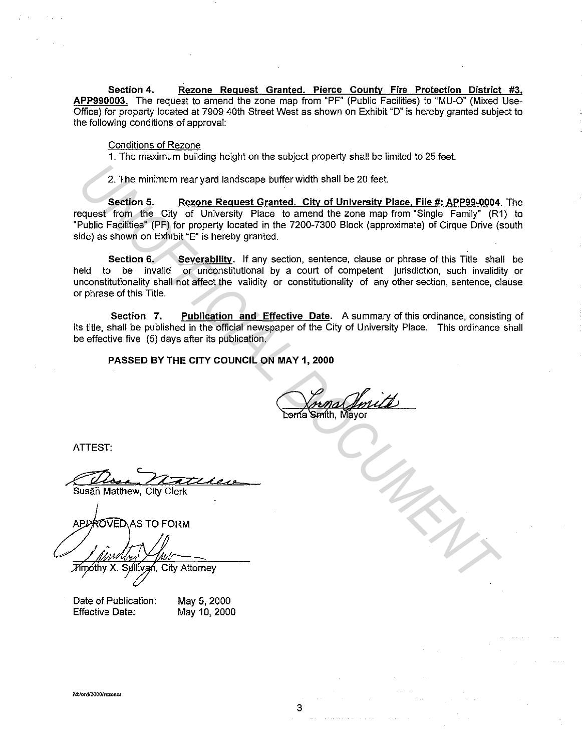**Section 4. Rezone Request Granted. Pierce County Fire Protection District #3. APP990003.** The request to amend the zone map from "PF" (Public Facilities) to "MU-0" (Mixed Use-Office) for property located at 7909 40th Street West as shown on Exhibit "D" is hereby granted subject to the following conditions of approval:

#### Conditions of Rezone

1. The maximum building height on the subject property shall be limited to 25 feet.

2. The minimum rear yard landscape buffer width shall be 20 feet.

**Section 5.** Rezone Request Granted. City of University Place, File #: APP99-0004. The request from the City of University Place to amend the zone map from "Single Family" (R1) to "Public Facilities" (PF) for property located in the 7200-7300 Block (approximate) of Cirque Drive (south side) as shown on Exhibit "E" is hereby granted.

**Section 6. Severability.** If any section, sentence, clause or phrase of this Title shall be held to be invalid or unconstitutional by a court of competent jurisdiction, such invalidity or unconstitutionality shall not affect the validity or constitutionality of any other section, sentence, clause or phrase of this Title. 2. The minimum rear yard landscape buffer width shall be 20 feet.<br> **Section 5.** Rezone Request Granted. City of University Place, File #: APP99-0004.<br>
Equals from the City of University Place to amend the zone map from "Si

**Section 7. Publication and Effective Date.** A summary of this ordinance, consisting of its title, shall be published in the official newspaper of the City of University Place. This ordinance shall be effective five (5) days after its publication.

**PASSED BY THE CITY COUNCIL ON MAY 1, 2000** 

ATTEST:

ATTEST:<br>Susan Matthew, City Clerk

Date of Publication: Effective Date:

May 5, 2000 May 10, 2000

**M:/ord/2000/rezones**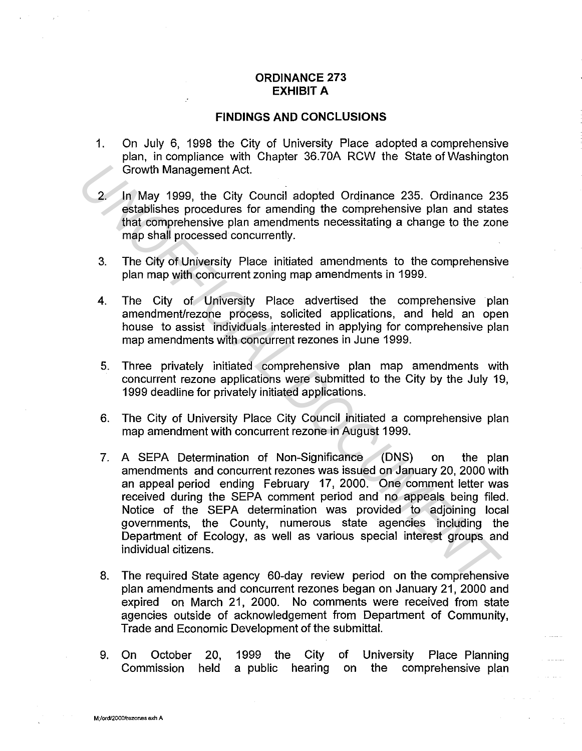#### **ORDINANCE 273 EXHIBIT A**

#### **FINDINGS AND CONCLUSIONS**

- 1. On July 6, 1998 the City of University Place adopted a comprehensive plan, in compliance with Chapter 36.70A RCW the State of Washington Growth Management Act.
- 2. In May 1999, the City Council adopted Ordinance 235. Ordinance 235 establishes procedures for amending the comprehensive plan and states that comprehensive plan amendments necessitating a change to the zone map shall processed concurrently.
- 3. The City of University Place initiated amendments to the comprehensive plan map with concurrent zoning map amendments in 1999.
- 4. The City of University Place advertised the comprehensive plan amendment/rezone process, solicited applications, and held an open house to assist individuals interested in applying for comprehensive plan map amendments with concurrent rezones in June 1999.
- 5. Three privately initiated comprehensive plan map amendments with concurrent rezone applications were submitted to the City by the July 19, 1999 deadline for privately initiated applications.
- 6. The City of University Place City Council initiated a comprehensive plan map amendment with concurrent rezone in August 1999.
- 7. A SEPA Determination of Non-Significance (DNS) on the plan amendments and concurrent rezones was issued on January 20, 2000 with an appeal period ending February 17, 2000. One comment letter was received during the SEPA comment period and no appeals being filed. Notice of the SEPA determination was provided to adjoining local governments, the County, numerous state agencies including the Department of Ecology, as well as various special interest groups and individual citizens. Crowth Management Act.<br>
2. In May 1999, the City Council adopted Ordinance 235. Ordinance 23<br>
establishes procedures for amending the comprehensive plan and state<br>
that comprehensive plan amendments necessitating a change
	- 8. The required State agency 60-day review period on the comprehensive plan amendments and concurrent rezones began on January 21, 2000 and expired on March 21, 2000. No comments were received from state agencies outside of acknowledgement from Department of Community, Trade and Economic Development of the submittal.
	- 9. On October Commission held 20, 1999 the City a public hearing on the comprehensive plan of University Place Planning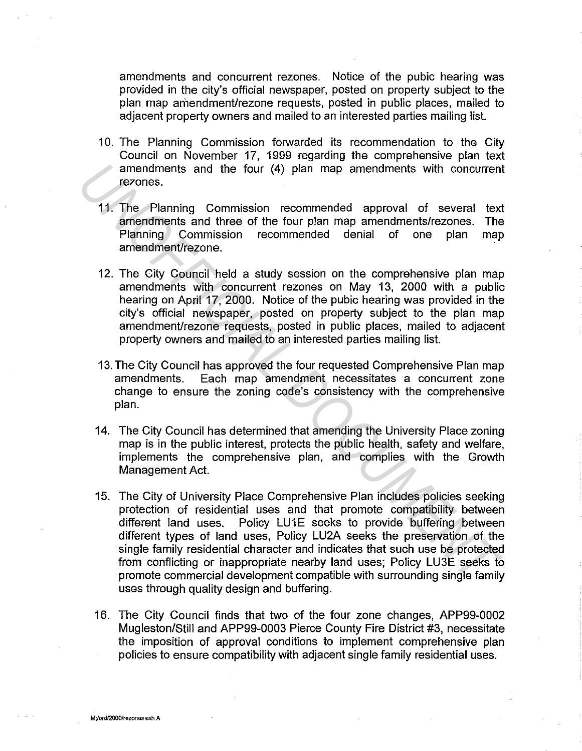amendments and concurrent rezones. Notice of the pubic hearing was provided in the city's official newspaper, posted on property subject to the plan map amendment/rezone requests, posted in public places, mailed to adjacent property owners and mailed to an interested parties mailing list.

- 10. The Planning Commission forwarded its recommendation to the City Council on November 17, 1999 regarding the comprehensive plan text amendments and the four (4) plan map amendments with concurrent rezones.
- 11. The Planning Commission recommended approval of several text amendments and three of the four plan map amendments/rezones. The Planning Commission recommended denial of one plan map amendment/rezone.
- 12. The City Council held a study session on the comprehensive plan map amendments with concurrent rezones on May 13, 2000 with a public hearing on April 17, 2000. Notice of the pubic hearing was provided in the city's official newspaper, posted on property subject to the plan map amendment/rezone requests, posted in public places, mailed to adjacent property owners and mailed to an interested parties mailing list.
- 13. The City Council has approved the four requested Comprehensive Plan map amendments. Each map amendment necessitates a concurrent zone change to ensure the zoning code's consistency with the comprehensive plan.
- 14. The City Council has determined that amending the University Place zoning map is in the public interest, protects the public health, safety and welfare, implements the comprehensive plan, and complies with the Growth Management Act.
- 15. The City of University Place Comprehensive Plan includes policies seeking protection of residential uses and that promote compatibility between different land uses. Policy LU1E seeks to provide buffering between different types of land uses, Policy LU2A seeks the preservation of the single family residential character and indicates that such use be protected from conflicting or inappropriate nearby land uses; Policy LU3E seeks to promote commercial development compatible with surrounding single family uses through quality design and buffering. amendments and the four (4) plan map amendments with concurrent<br> **The Planning Commission recommended approval of several text**<br> **ITHE Planning Commission recommended approval of several text**<br> **Planning Commission recomme** 
	- 16. The City Council finds that two of the four zone changes, APP99-0002 Mugleston/Still and APP99-0003 Pierce County Fire District #3, necessitate the imposition of approval conditions to implement comprehensive plan policies to ensure compatibility with adjacent single family residential uses.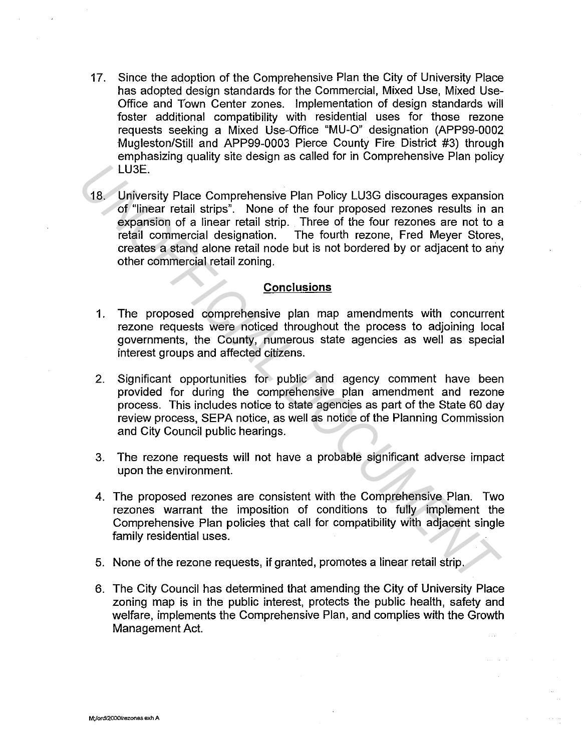- 17. Since the adoption of the Comprehensive Plan the City of University Place has adopted design standards for the Commercial, Mixed Use, Mixed Use-Office and Town Center zones. Implementation of design standards will foster additional compatibility with residential uses for those rezone requests seeking a Mixed Use-Office "MU-0" designation (APP99-0002 Mugleston/Still and APP99-0003 Pierce County Fire District #3) through emphasizing quality site design as called for in Comprehensive Plan policy LU3E.
- 18. University Place Comprehensive Plan Policy LU3G discourages expansion of "linear retail strips". None of the four proposed rezones results in an expansion of a linear retail strip. Three of the four rezones are not to a retail commercial designation. The fourth rezone, Fred Meyer Stores, creates a stand alone retail node but is not bordered by or adjacent to any other commercial retail zoning. **LUSE.**<br> **18.** University Place Comprehensive Plan Policy LU3G discourages expansion<br>
of "linear retail strips". None of the four proposed recornes results in an<br>
expansion of a linear retail strip. Three of the four recon

#### **Conclusions**

- 1. The proposed comprehensive plan map amendments with concurrent rezone requests were noticed throughout the process to adjoining local governments, the County, numerous state agencies as well as special interest groups and affected citizens.
- 2. Significant opportunities for public and agency comment have been provided for during the comprehensive plan amendment and rezone process. This includes notice to state agencies as part of the State 60 day review process, SEPA notice, as well as notice of the Planning Commission and City Council public hearings.
- 3. The rezone requests will not have a probable significant adverse impact upon the environment.
- 4. The proposed rezones are consistent with the Comprehensive Plan. Two rezones warrant the imposition of conditions to fully implement the Comprehensive Plan policies that call for compatibility with adjacent single family residential uses.
- 5. None of the rezone requests, if granted, promotes a linear retail strip.
- 6. The City Council has determined that amending the City of University Place zoning map is in the public interest, protects the public health, safety and welfare, implements the Comprehensive Plan, and complies with the Growth Management Act.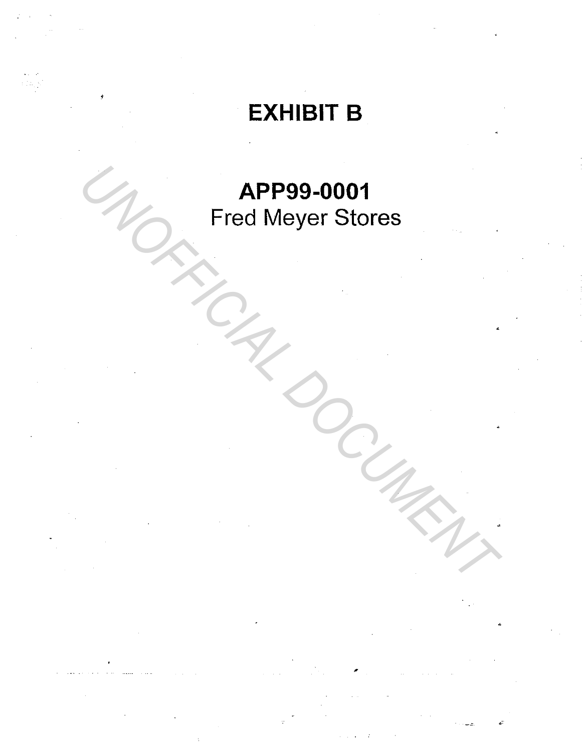# EXHIBIT B

# APP99-0001 Fred Meyer Stores **APP99-0001**<br>Fred Meyer Stores<br>All Control Document Production of the Magnetic Production of the Magnetic Production of the Magnetic Production of the Magnetic Production of the Magnetic Production of the Magnetic Producti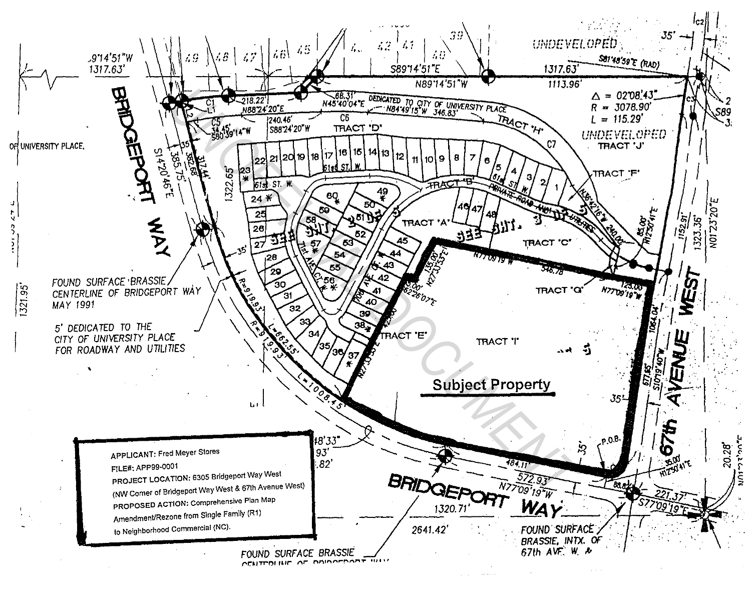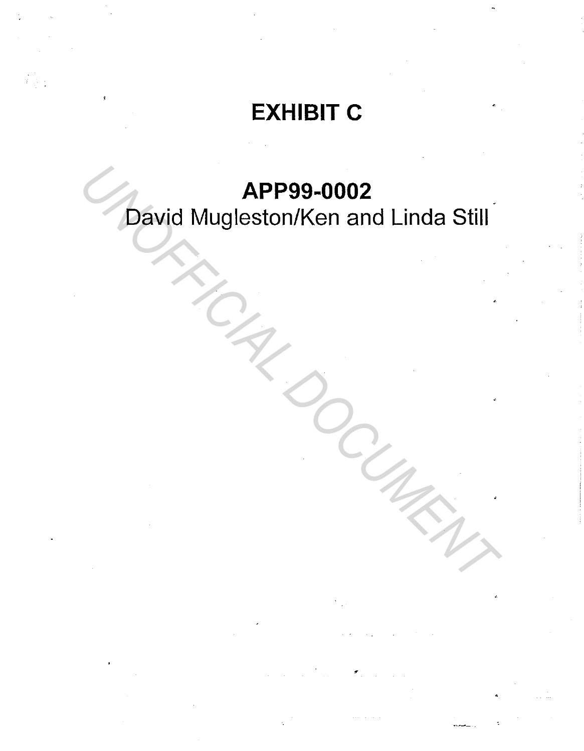# EXHIBIT C

## APP99-0002

David Mugleston/Ken and Linda Still **APP99-0002**<br>David Mugleston/Ken and Linda Still<br>Alexander Channel Control of the Control of the Control of the Control of the Control of the Control of the Control of the Control of the Control of the Control of the Contr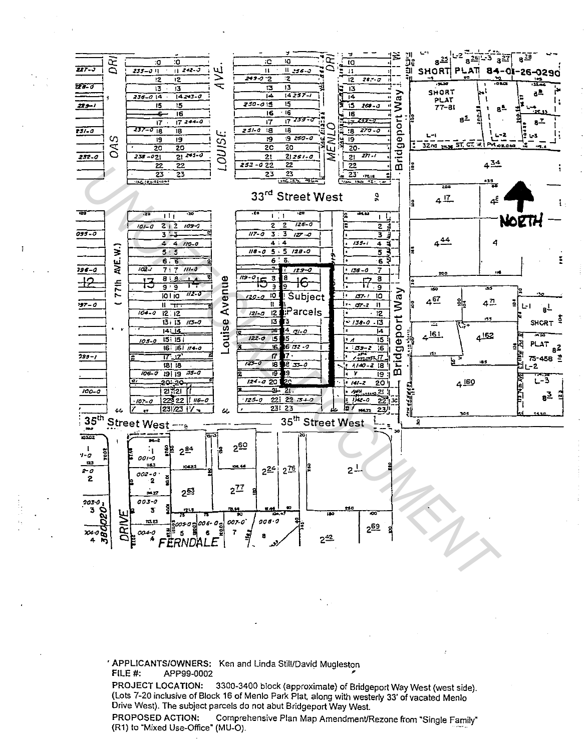

' APPLICANTS/OWNERS: Ken and Linda Still/David Mugleston FILE #: APP99-0002

PROJECT LOCATION: 3300-3400 block (approximate) of Bridgeport Way West (west side). (Lots 7-20 inclusive of Block 16 of Menlo Park Plat, along with westerly 33' of vacated Menlo Drive West). The subject parcels do not abut Bridgeport Way West.

PROPOSED ACTION: Comprehensive Plan Map Amendment/Rezone from "Single Family" (R1) to "Mixed Use-Office" (MU-O).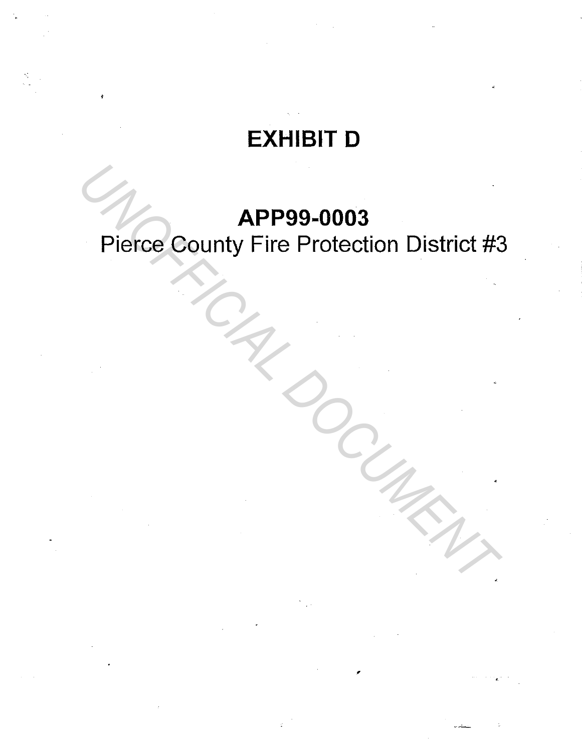## **EXHIBIT D**

### **APP99-0003**

# Pierce County Fire Protection District #3 **APP99-0003**<br>Pierce County Fire Protection District #3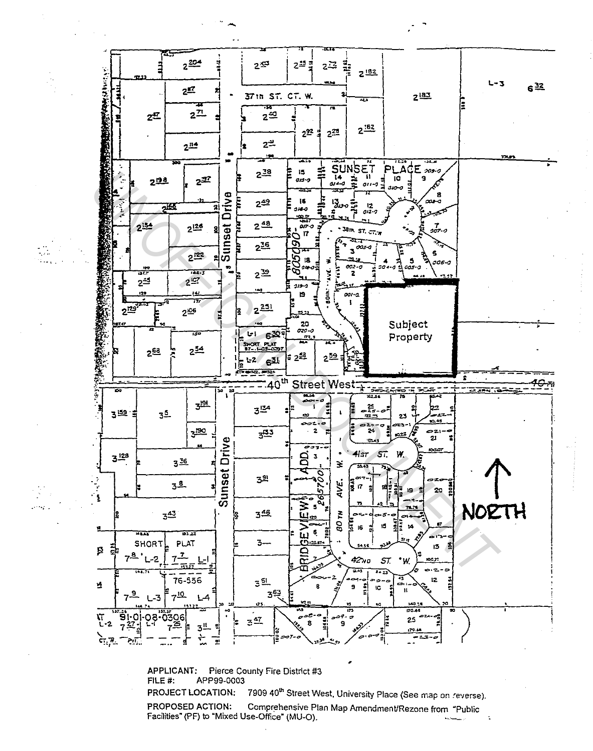

**APPLICANT:** Pierce County Fire District #3 FILE #: APP99-0003 7909 40<sup>th</sup> Street West, University Place (See map on reverse). PROJECT LOCATION:

PROPOSED ACTION: Comprehensive Plan Map Amendment/Rezone from "Public Facilities" (PF) to "Mixed Use-Office" (MU-O).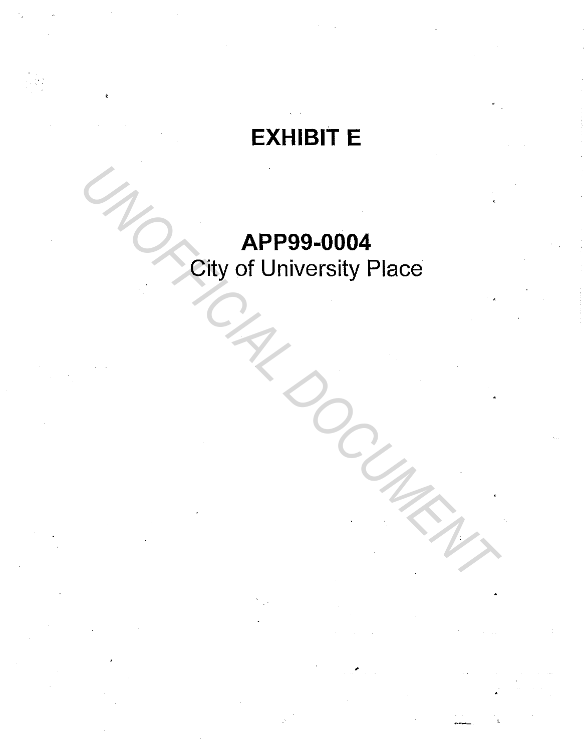# EXHIBIT E

# APP99-0004 City of University Place *UNCORERE APP99-0004*<br>City of University Place